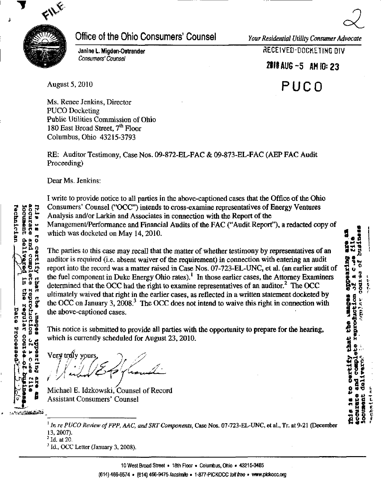

## Office of the Ohio Consumers' Counsel Your Residential Utility Consumer Advocate

Janine L. Migden-Ostrander Consumers' Counsel

 $\alpha$ 

**8**  $\mathbf{z}^{\prime}$ 

 $\frac{1}{2}$  ,  $\frac{1}{2}$ 

history<br>history<br>cook

 $\overline{a}$  8  $\overline{b}$ 

 $\frac{1}{2}$ **VAR: 000 JACD** 

**0 0** ن <u>H o P</u>

o a a

5. N N N D い

ていてんじゅ

RECEIVED-DOCKETING DIV

ZIIIAUG-S AM 10:23

August 5,2010

PUCO

Ms. Renee Jenkins, Director PUCO Docketing Public Utilities Commission of Ohio 180 East Broad Street, 7<sup>th</sup> Floor Columbus, Ohio 43215-3793

RE: Auditor Testimony, Case Nos. 09-872-EL-FAC & 09-873-EL-FAC (AEP FAC Audit Proceeding)

Dear Ms. Jenkins:

I write to provide notice to all parties in the above-captioned cases that the Office of the Ohio Consumers' Counsel ("OCC") intends to cross-examine representatives of Energy Ventures Analysis and/or Larkin and Associates in connection with the Report of the Management/Performance and Financial Audits of the FAC ("Audit Report"), a redacted copy of which was docketed on May 14,2010.

The parties to this case may recall that the matter of whether testimony by representatives of an auditor is required (i.e. absent waiver of the requirement) in connection with entering an audit report into the record was a matter raised in Case Nos. 07-723-EL-UNC, et ai. (an earlier audit of the fuel component in Duke Energy Ohio rates).<sup>1</sup> In those earlier cases, the Attorney Examiners determined that the OCC had the right to examine representatives of an auditor.<sup>2</sup> The OCC ultimately waived that right in the earlier cases, as reflected in a written statement docketed by the OCC on January 3,  $2008<sup>3</sup>$  The OCC does not intend to waive this right in connection with the above-captioned cases.

This notice is submitted to provide all parties with the opportunity to prepare for the hearing, which is currently scheduled for August 23, 2010.

Very trúly yours

Michael E. Idzkowski, Counsel of Record Assistant Consumers' Counsel

 $1$  In re PUCO Review of FPP, AAC, and SRT Components, Case Nos. 07-723-EL-UNC, et al., Tr. at 9-21 (December 13,2007).

 $^{2}$  Id. at 20.

 $<sup>3</sup>$  Id., OCC Letter (January 3, 2008).</sup>